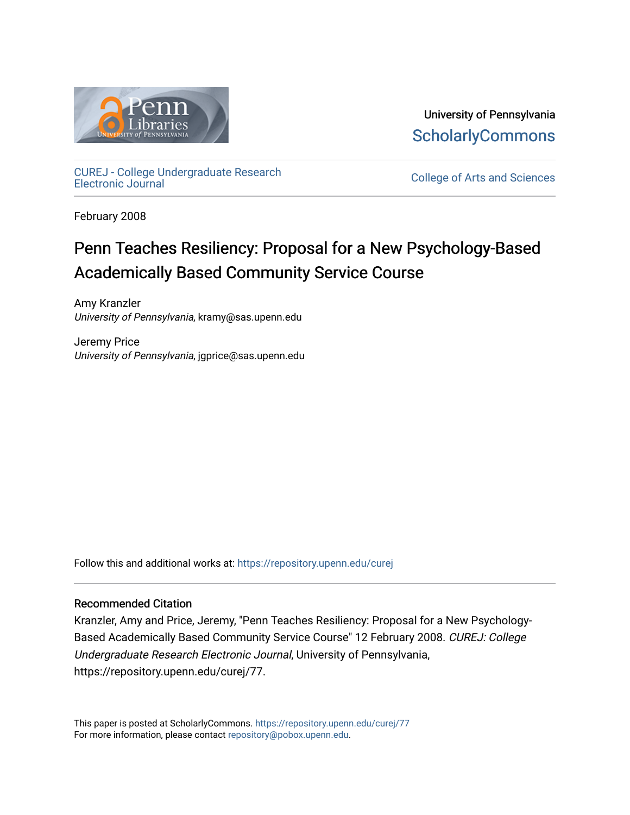

University of Pennsylvania **ScholarlyCommons** 

[CUREJ - College Undergraduate Research](https://repository.upenn.edu/curej) 

College of Arts and Sciences

February 2008

# Penn Teaches Resiliency: Proposal for a New Psychology-Based Academically Based Community Service Course

Amy Kranzler University of Pennsylvania, kramy@sas.upenn.edu

Jeremy Price University of Pennsylvania, jgprice@sas.upenn.edu

Follow this and additional works at: [https://repository.upenn.edu/curej](https://repository.upenn.edu/curej?utm_source=repository.upenn.edu%2Fcurej%2F77&utm_medium=PDF&utm_campaign=PDFCoverPages)

#### Recommended Citation

Kranzler, Amy and Price, Jeremy, "Penn Teaches Resiliency: Proposal for a New Psychology-Based Academically Based Community Service Course" 12 February 2008. CUREJ: College Undergraduate Research Electronic Journal, University of Pennsylvania, https://repository.upenn.edu/curej/77.

This paper is posted at ScholarlyCommons.<https://repository.upenn.edu/curej/77> For more information, please contact [repository@pobox.upenn.edu.](mailto:repository@pobox.upenn.edu)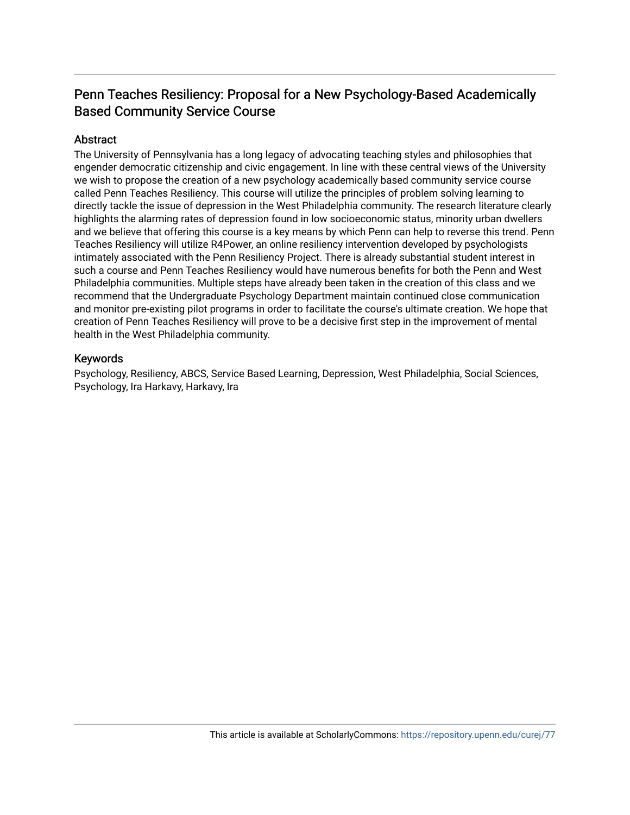# Penn Teaches Resiliency: Proposal for a New Psychology-Based Academically Based Community Service Course

#### Abstract

The University of Pennsylvania has a long legacy of advocating teaching styles and philosophies that engender democratic citizenship and civic engagement. In line with these central views of the University we wish to propose the creation of a new psychology academically based community service course called Penn Teaches Resiliency. This course will utilize the principles of problem solving learning to directly tackle the issue of depression in the West Philadelphia community. The research literature clearly highlights the alarming rates of depression found in low socioeconomic status, minority urban dwellers and we believe that offering this course is a key means by which Penn can help to reverse this trend. Penn Teaches Resiliency will utilize R4Power, an online resiliency intervention developed by psychologists intimately associated with the Penn Resiliency Project. There is already substantial student interest in such a course and Penn Teaches Resiliency would have numerous benefits for both the Penn and West Philadelphia communities. Multiple steps have already been taken in the creation of this class and we recommend that the Undergraduate Psychology Department maintain continued close communication and monitor pre-existing pilot programs in order to facilitate the course's ultimate creation. We hope that creation of Penn Teaches Resiliency will prove to be a decisive first step in the improvement of mental health in the West Philadelphia community.

#### Keywords

Psychology, Resiliency, ABCS, Service Based Learning, Depression, West Philadelphia, Social Sciences, Psychology, Ira Harkavy, Harkavy, Ira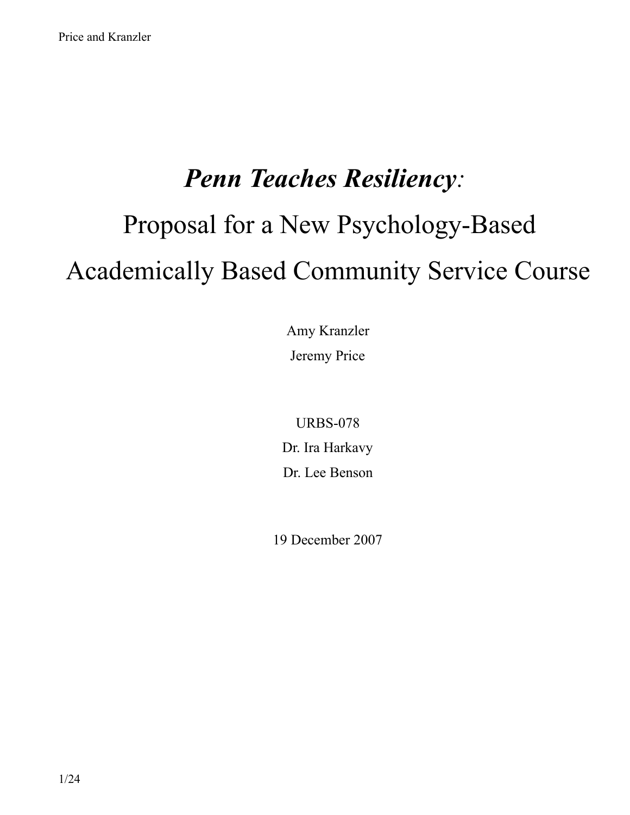# *Penn Teaches Resiliency:*  Proposal for a New Psychology-Based Academically Based Community Service Course

Amy Kranzler Jeremy Price

URBS-078 Dr. Ira Harkavy Dr. Lee Benson

19 December 2007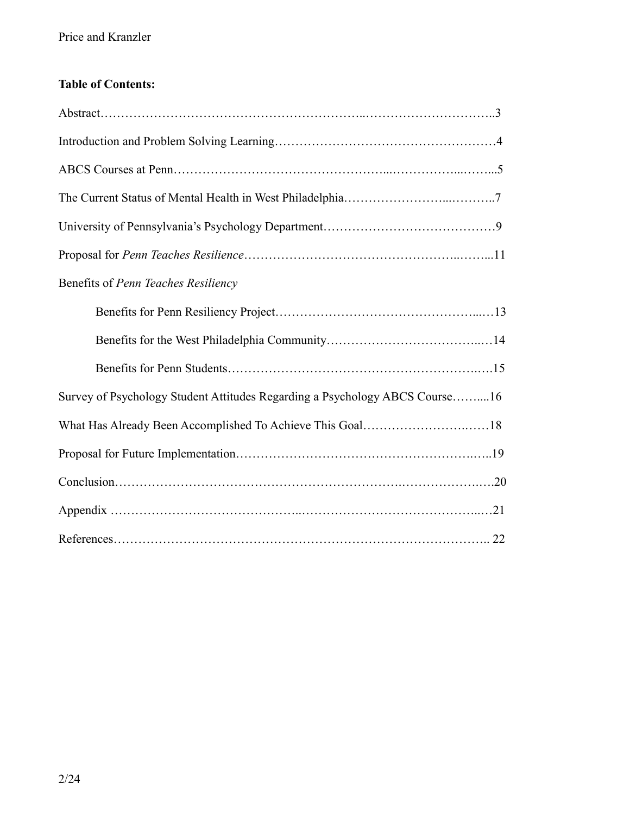# **Table of Contents:**

| Benefits of Penn Teaches Resiliency                                         |
|-----------------------------------------------------------------------------|
|                                                                             |
|                                                                             |
|                                                                             |
| Survey of Psychology Student Attitudes Regarding a Psychology ABCS Course16 |
|                                                                             |
|                                                                             |
|                                                                             |
|                                                                             |
|                                                                             |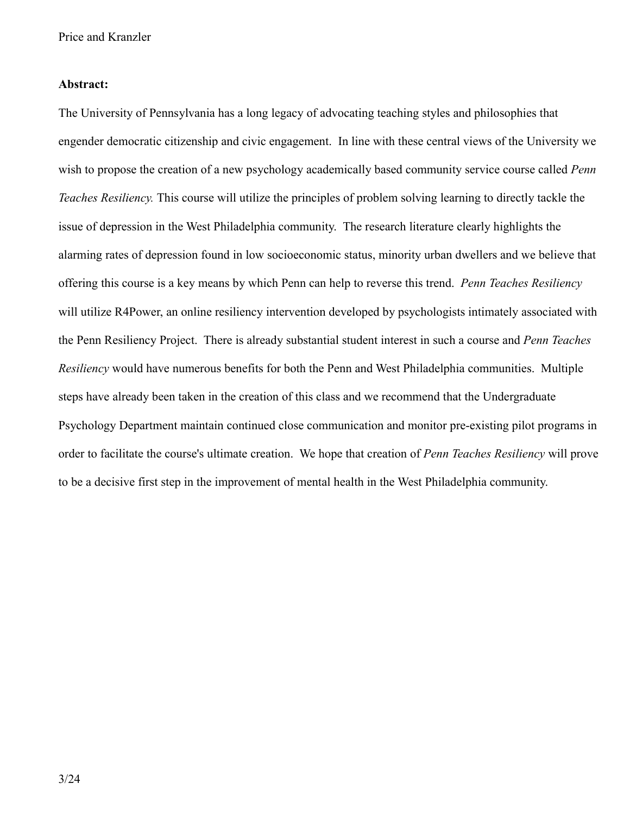#### **Abstract:**

The University of Pennsylvania has a long legacy of advocating teaching styles and philosophies that engender democratic citizenship and civic engagement. In line with these central views of the University we wish to propose the creation of a new psychology academically based community service course called *Penn Teaches Resiliency.* This course will utilize the principles of problem solving learning to directly tackle the issue of depression in the West Philadelphia community. The research literature clearly highlights the alarming rates of depression found in low socioeconomic status, minority urban dwellers and we believe that offering this course is a key means by which Penn can help to reverse this trend. *Penn Teaches Resiliency* will utilize R4Power, an online resiliency intervention developed by psychologists intimately associated with the Penn Resiliency Project. There is already substantial student interest in such a course and *Penn Teaches Resiliency* would have numerous benefits for both the Penn and West Philadelphia communities. Multiple steps have already been taken in the creation of this class and we recommend that the Undergraduate Psychology Department maintain continued close communication and monitor pre-existing pilot programs in order to facilitate the course's ultimate creation. We hope that creation of *Penn Teaches Resiliency* will prove to be a decisive first step in the improvement of mental health in the West Philadelphia community.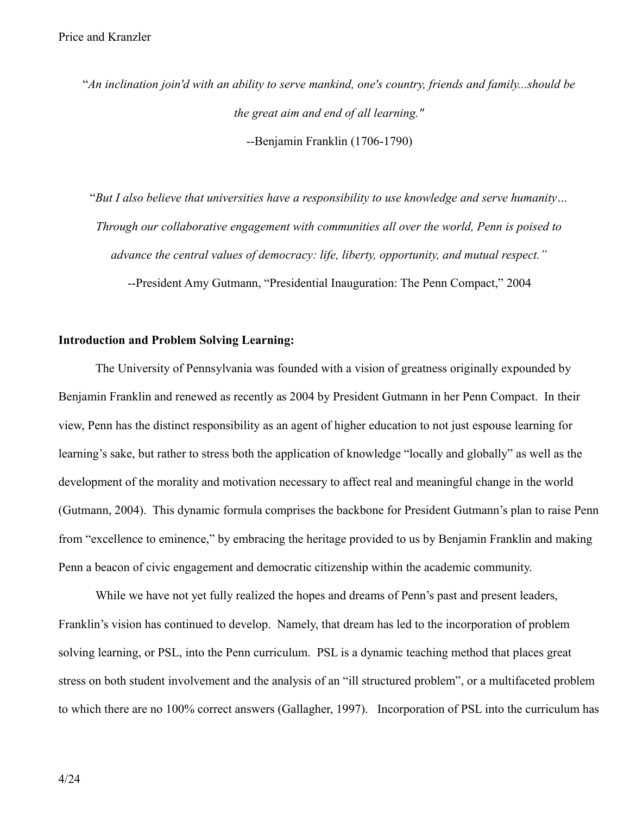"*An inclination join'd with an ability to serve mankind, one's country, friends and family...should be the great aim and end of all learning."* --Benjamin Franklin (1706-1790)

"*But I also believe that universities have a responsibility to use knowledge and serve humanity… Through our collaborative engagement with communities all over the world, Penn is poised to advance the central values of democracy: life, liberty, opportunity, and mutual respect."*

--President Amy Gutmann, "Presidential Inauguration: The Penn Compact," 2004

#### **Introduction and Problem Solving Learning:**

The University of Pennsylvania was founded with a vision of greatness originally expounded by Benjamin Franklin and renewed as recently as 2004 by President Gutmann in her Penn Compact. In their view, Penn has the distinct responsibility as an agent of higher education to not just espouse learning for learning's sake, but rather to stress both the application of knowledge "locally and globally" as well as the development of the morality and motivation necessary to affect real and meaningful change in the world (Gutmann, 2004). This dynamic formula comprises the backbone for President Gutmann's plan to raise Penn from "excellence to eminence," by embracing the heritage provided to us by Benjamin Franklin and making Penn a beacon of civic engagement and democratic citizenship within the academic community.

While we have not yet fully realized the hopes and dreams of Penn's past and present leaders, Franklin's vision has continued to develop. Namely, that dream has led to the incorporation of problem solving learning, or PSL, into the Penn curriculum. PSL is a dynamic teaching method that places great stress on both student involvement and the analysis of an "ill structured problem", or a multifaceted problem to which there are no 100% correct answers (Gallagher, 1997). Incorporation of PSL into the curriculum has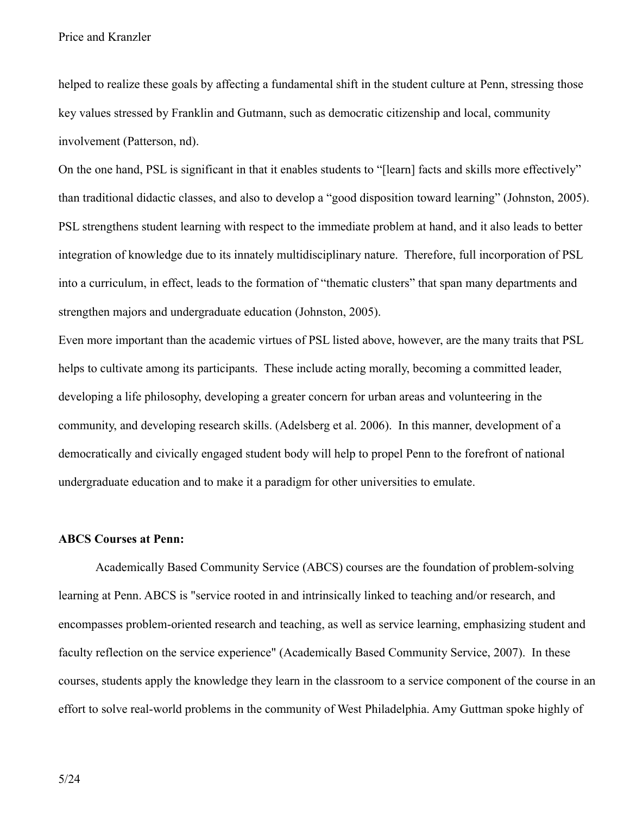helped to realize these goals by affecting a fundamental shift in the student culture at Penn, stressing those key values stressed by Franklin and Gutmann, such as democratic citizenship and local, community involvement (Patterson, nd).

On the one hand, PSL is significant in that it enables students to "[learn] facts and skills more effectively" than traditional didactic classes, and also to develop a "good disposition toward learning" (Johnston, 2005). PSL strengthens student learning with respect to the immediate problem at hand, and it also leads to better integration of knowledge due to its innately multidisciplinary nature. Therefore, full incorporation of PSL into a curriculum, in effect, leads to the formation of "thematic clusters" that span many departments and strengthen majors and undergraduate education (Johnston, 2005).

Even more important than the academic virtues of PSL listed above, however, are the many traits that PSL helps to cultivate among its participants. These include acting morally, becoming a committed leader, developing a life philosophy, developing a greater concern for urban areas and volunteering in the community, and developing research skills. (Adelsberg et al. 2006). In this manner, development of a democratically and civically engaged student body will help to propel Penn to the forefront of national undergraduate education and to make it a paradigm for other universities to emulate.

#### **ABCS Courses at Penn:**

Academically Based Community Service (ABCS) courses are the foundation of problem-solving learning at Penn. ABCS is "service rooted in and intrinsically linked to teaching and/or research, and encompasses problem-oriented research and teaching, as well as service learning, emphasizing student and faculty reflection on the service experience" (Academically Based Community Service, 2007). In these courses, students apply the knowledge they learn in the classroom to a service component of the course in an effort to solve real-world problems in the community of West Philadelphia. Amy Guttman spoke highly of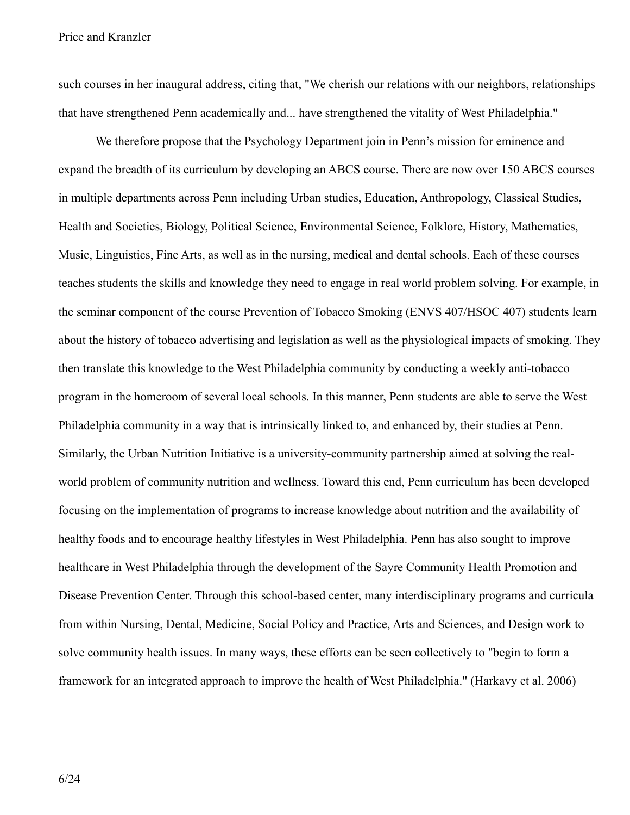such courses in her inaugural address, citing that, "We cherish our relations with our neighbors, relationships that have strengthened Penn academically and... have strengthened the vitality of West Philadelphia."

We therefore propose that the Psychology Department join in Penn's mission for eminence and expand the breadth of its curriculum by developing an ABCS course. There are now over 150 ABCS courses in multiple departments across Penn including Urban studies, Education, Anthropology, Classical Studies, Health and Societies, Biology, Political Science, Environmental Science, Folklore, History, Mathematics, Music, Linguistics, Fine Arts, as well as in the nursing, medical and dental schools. Each of these courses teaches students the skills and knowledge they need to engage in real world problem solving. For example, in the seminar component of the course Prevention of Tobacco Smoking (ENVS 407/HSOC 407) students learn about the history of tobacco advertising and legislation as well as the physiological impacts of smoking. They then translate this knowledge to the West Philadelphia community by conducting a weekly anti-tobacco program in the homeroom of several local schools. In this manner, Penn students are able to serve the West Philadelphia community in a way that is intrinsically linked to, and enhanced by, their studies at Penn. Similarly, the Urban Nutrition Initiative is a university-community partnership aimed at solving the realworld problem of community nutrition and wellness. Toward this end, Penn curriculum has been developed focusing on the implementation of programs to increase knowledge about nutrition and the availability of healthy foods and to encourage healthy lifestyles in West Philadelphia. Penn has also sought to improve healthcare in West Philadelphia through the development of the Sayre Community Health Promotion and Disease Prevention Center. Through this school-based center, many interdisciplinary programs and curricula from within Nursing, Dental, Medicine, Social Policy and Practice, Arts and Sciences, and Design work to solve community health issues. In many ways, these efforts can be seen collectively to "begin to form a framework for an integrated approach to improve the health of West Philadelphia." (Harkavy et al. 2006)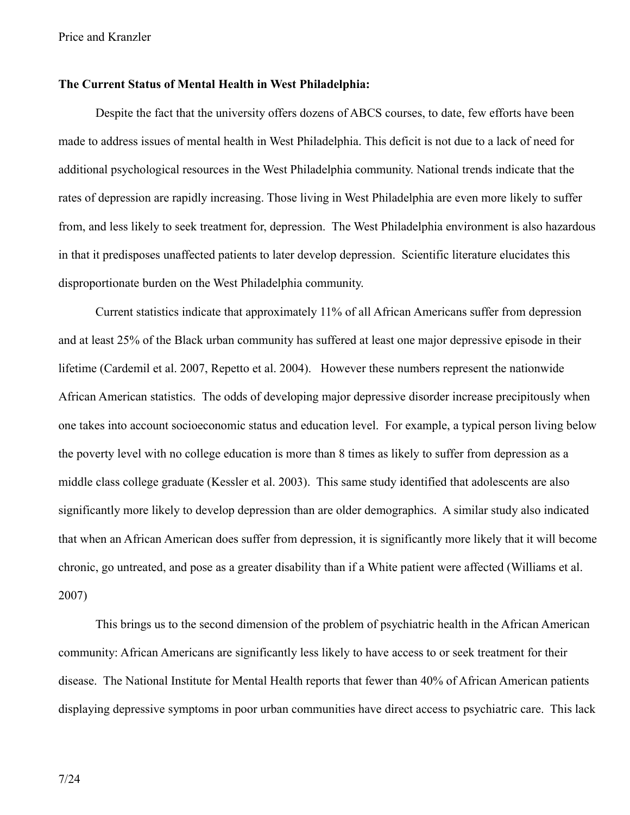#### **The Current Status of Mental Health in West Philadelphia:**

Despite the fact that the university offers dozens of ABCS courses, to date, few efforts have been made to address issues of mental health in West Philadelphia. This deficit is not due to a lack of need for additional psychological resources in the West Philadelphia community. National trends indicate that the rates of depression are rapidly increasing. Those living in West Philadelphia are even more likely to suffer from, and less likely to seek treatment for, depression. The West Philadelphia environment is also hazardous in that it predisposes unaffected patients to later develop depression. Scientific literature elucidates this disproportionate burden on the West Philadelphia community.

Current statistics indicate that approximately 11% of all African Americans suffer from depression and at least 25% of the Black urban community has suffered at least one major depressive episode in their lifetime (Cardemil et al. 2007, Repetto et al. 2004). However these numbers represent the nationwide African American statistics. The odds of developing major depressive disorder increase precipitously when one takes into account socioeconomic status and education level. For example, a typical person living below the poverty level with no college education is more than 8 times as likely to suffer from depression as a middle class college graduate (Kessler et al. 2003). This same study identified that adolescents are also significantly more likely to develop depression than are older demographics. A similar study also indicated that when an African American does suffer from depression, it is significantly more likely that it will become chronic, go untreated, and pose as a greater disability than if a White patient were affected (Williams et al. 2007)

This brings us to the second dimension of the problem of psychiatric health in the African American community: African Americans are significantly less likely to have access to or seek treatment for their disease. The National Institute for Mental Health reports that fewer than 40% of African American patients displaying depressive symptoms in poor urban communities have direct access to psychiatric care. This lack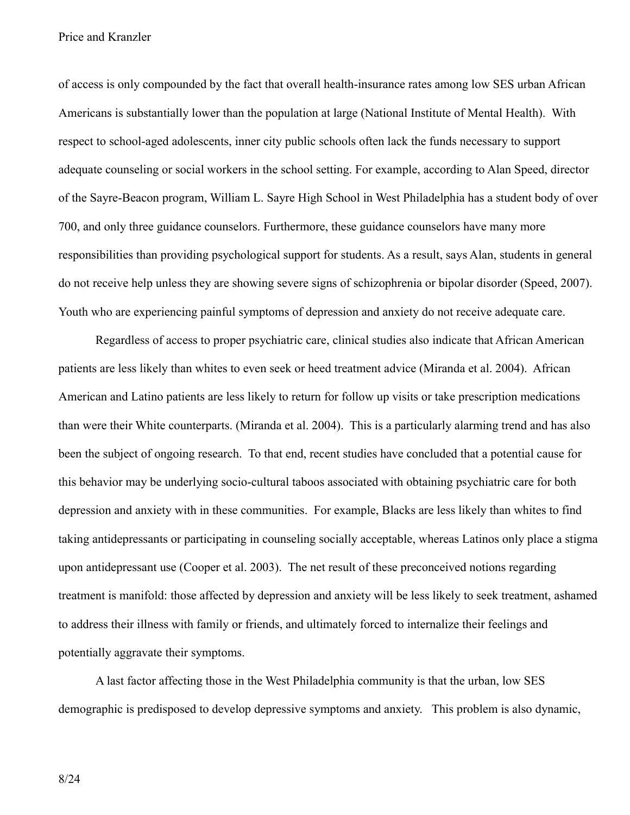of access is only compounded by the fact that overall health-insurance rates among low SES urban African Americans is substantially lower than the population at large (National Institute of Mental Health). With respect to school-aged adolescents, inner city public schools often lack the funds necessary to support adequate counseling or social workers in the school setting. For example, according to Alan Speed, director of the Sayre-Beacon program, William L. Sayre High School in West Philadelphia has a student body of over 700, and only three guidance counselors. Furthermore, these guidance counselors have many more responsibilities than providing psychological support for students. As a result, says Alan, students in general do not receive help unless they are showing severe signs of schizophrenia or bipolar disorder (Speed, 2007). Youth who are experiencing painful symptoms of depression and anxiety do not receive adequate care.

Regardless of access to proper psychiatric care, clinical studies also indicate that African American patients are less likely than whites to even seek or heed treatment advice (Miranda et al. 2004). African American and Latino patients are less likely to return for follow up visits or take prescription medications than were their White counterparts. (Miranda et al. 2004). This is a particularly alarming trend and has also been the subject of ongoing research. To that end, recent studies have concluded that a potential cause for this behavior may be underlying socio-cultural taboos associated with obtaining psychiatric care for both depression and anxiety with in these communities. For example, Blacks are less likely than whites to find taking antidepressants or participating in counseling socially acceptable, whereas Latinos only place a stigma upon antidepressant use (Cooper et al. 2003). The net result of these preconceived notions regarding treatment is manifold: those affected by depression and anxiety will be less likely to seek treatment, ashamed to address their illness with family or friends, and ultimately forced to internalize their feelings and potentially aggravate their symptoms.

A last factor affecting those in the West Philadelphia community is that the urban, low SES demographic is predisposed to develop depressive symptoms and anxiety. This problem is also dynamic,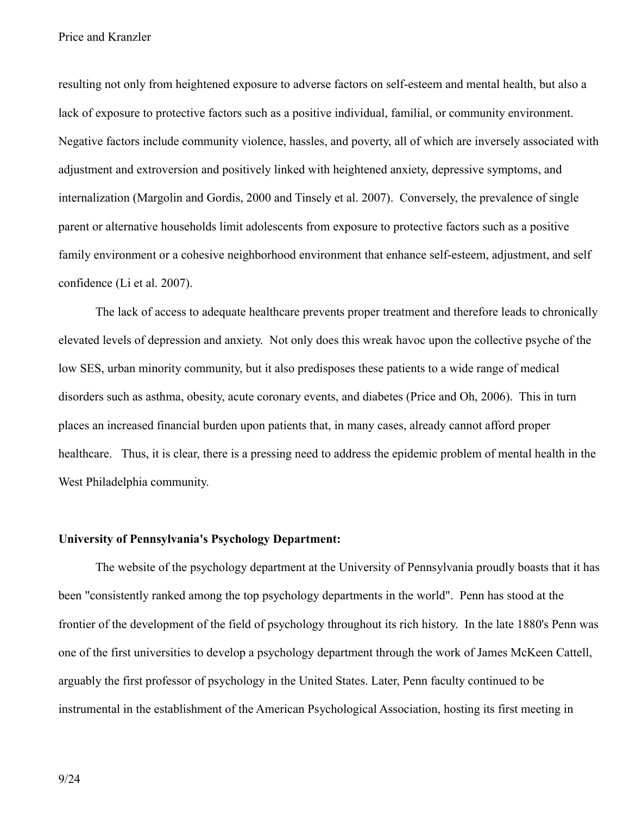resulting not only from heightened exposure to adverse factors on self-esteem and mental health, but also a lack of exposure to protective factors such as a positive individual, familial, or community environment. Negative factors include community violence, hassles, and poverty, all of which are inversely associated with adjustment and extroversion and positively linked with heightened anxiety, depressive symptoms, and internalization (Margolin and Gordis, 2000 and Tinsely et al. 2007). Conversely, the prevalence of single parent or alternative households limit adolescents from exposure to protective factors such as a positive family environment or a cohesive neighborhood environment that enhance self-esteem, adjustment, and self confidence (Li et al. 2007).

The lack of access to adequate healthcare prevents proper treatment and therefore leads to chronically elevated levels of depression and anxiety. Not only does this wreak havoc upon the collective psyche of the low SES, urban minority community, but it also predisposes these patients to a wide range of medical disorders such as asthma, obesity, acute coronary events, and diabetes (Price and Oh, 2006). This in turn places an increased financial burden upon patients that, in many cases, already cannot afford proper healthcare. Thus, it is clear, there is a pressing need to address the epidemic problem of mental health in the West Philadelphia community.

#### **University of Pennsylvania's Psychology Department:**

The website of the psychology department at the University of Pennsylvania proudly boasts that it has been "consistently ranked among the top psychology departments in the world". Penn has stood at the frontier of the development of the field of psychology throughout its rich history. In the late 1880's Penn was one of the first universities to develop a psychology department through the work of James McKeen Cattell, arguably the first professor of psychology in the United States. Later, Penn faculty continued to be instrumental in the establishment of the American Psychological Association, hosting its first meeting in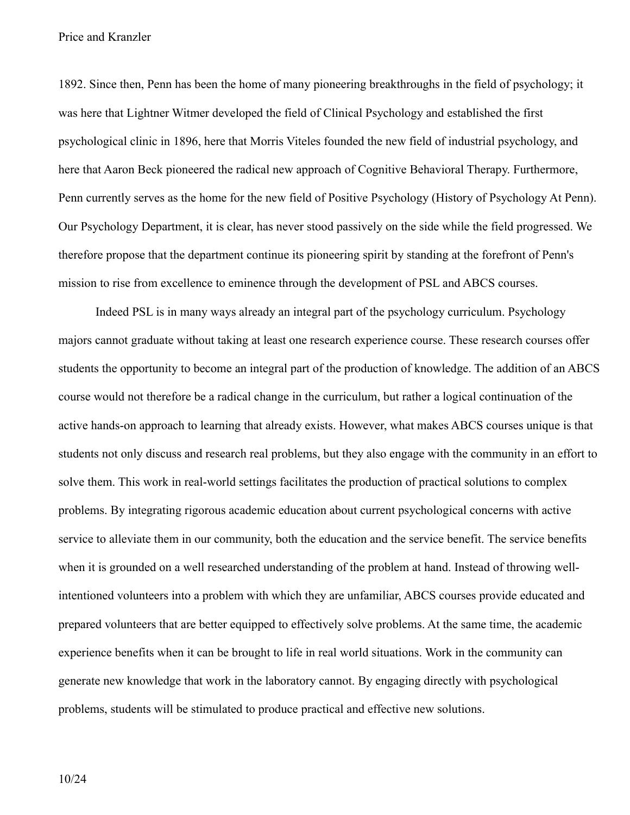1892. Since then, Penn has been the home of many pioneering breakthroughs in the field of psychology; it was here that Lightner Witmer developed the field of Clinical Psychology and established the first psychological clinic in 1896, here that Morris Viteles founded the new field of industrial psychology, and here that Aaron Beck pioneered the radical new approach of Cognitive Behavioral Therapy. Furthermore, Penn currently serves as the home for the new field of Positive Psychology (History of Psychology At Penn). Our Psychology Department, it is clear, has never stood passively on the side while the field progressed. We therefore propose that the department continue its pioneering spirit by standing at the forefront of Penn's mission to rise from excellence to eminence through the development of PSL and ABCS courses.

Indeed PSL is in many ways already an integral part of the psychology curriculum. Psychology majors cannot graduate without taking at least one research experience course. These research courses offer students the opportunity to become an integral part of the production of knowledge. The addition of an ABCS course would not therefore be a radical change in the curriculum, but rather a logical continuation of the active hands-on approach to learning that already exists. However, what makes ABCS courses unique is that students not only discuss and research real problems, but they also engage with the community in an effort to solve them. This work in real-world settings facilitates the production of practical solutions to complex problems. By integrating rigorous academic education about current psychological concerns with active service to alleviate them in our community, both the education and the service benefit. The service benefits when it is grounded on a well researched understanding of the problem at hand. Instead of throwing wellintentioned volunteers into a problem with which they are unfamiliar, ABCS courses provide educated and prepared volunteers that are better equipped to effectively solve problems. At the same time, the academic experience benefits when it can be brought to life in real world situations. Work in the community can generate new knowledge that work in the laboratory cannot. By engaging directly with psychological problems, students will be stimulated to produce practical and effective new solutions.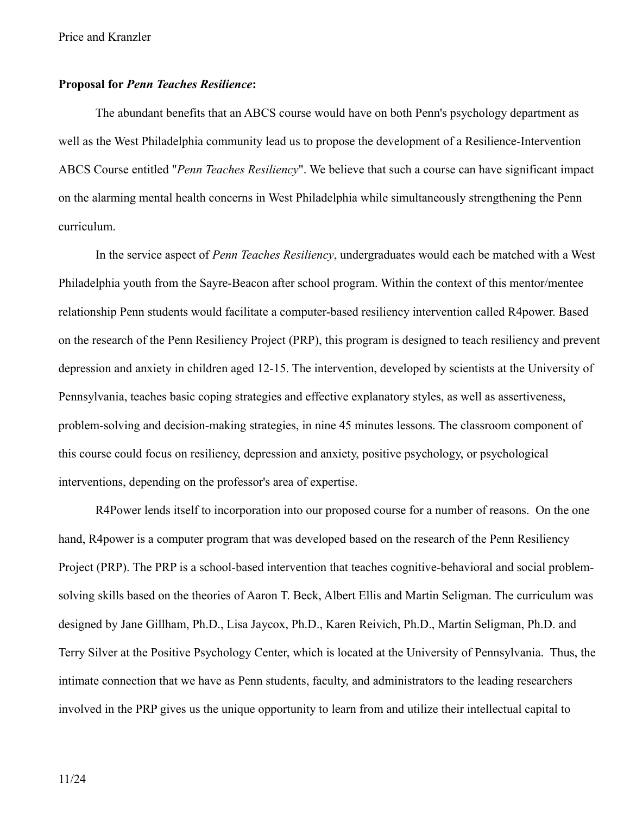#### **Proposal for** *Penn Teaches Resilience***:**

The abundant benefits that an ABCS course would have on both Penn's psychology department as well as the West Philadelphia community lead us to propose the development of a Resilience-Intervention ABCS Course entitled "*Penn Teaches Resiliency*". We believe that such a course can have significant impact on the alarming mental health concerns in West Philadelphia while simultaneously strengthening the Penn curriculum.

In the service aspect of *Penn Teaches Resiliency*, undergraduates would each be matched with a West Philadelphia youth from the Sayre-Beacon after school program. Within the context of this mentor/mentee relationship Penn students would facilitate a computer-based resiliency intervention called R4power. Based on the research of the Penn Resiliency Project (PRP), this program is designed to teach resiliency and prevent depression and anxiety in children aged 12-15. The intervention, developed by scientists at the University of Pennsylvania, teaches basic coping strategies and effective explanatory styles, as well as assertiveness, problem-solving and decision-making strategies, in nine 45 minutes lessons. The classroom component of this course could focus on resiliency, depression and anxiety, positive psychology, or psychological interventions, depending on the professor's area of expertise.

R4Power lends itself to incorporation into our proposed course for a number of reasons. On the one hand, R4power is a computer program that was developed based on the research of the Penn Resiliency Project (PRP). The PRP is a school-based intervention that teaches cognitive-behavioral and social problemsolving skills based on the theories of Aaron T. Beck, Albert Ellis and Martin Seligman. The curriculum was designed by Jane Gillham, Ph.D., Lisa Jaycox, Ph.D., Karen Reivich, Ph.D., Martin Seligman, Ph.D. and Terry Silver at the Positive Psychology Center, which is located at the University of Pennsylvania. Thus, the intimate connection that we have as Penn students, faculty, and administrators to the leading researchers involved in the PRP gives us the unique opportunity to learn from and utilize their intellectual capital to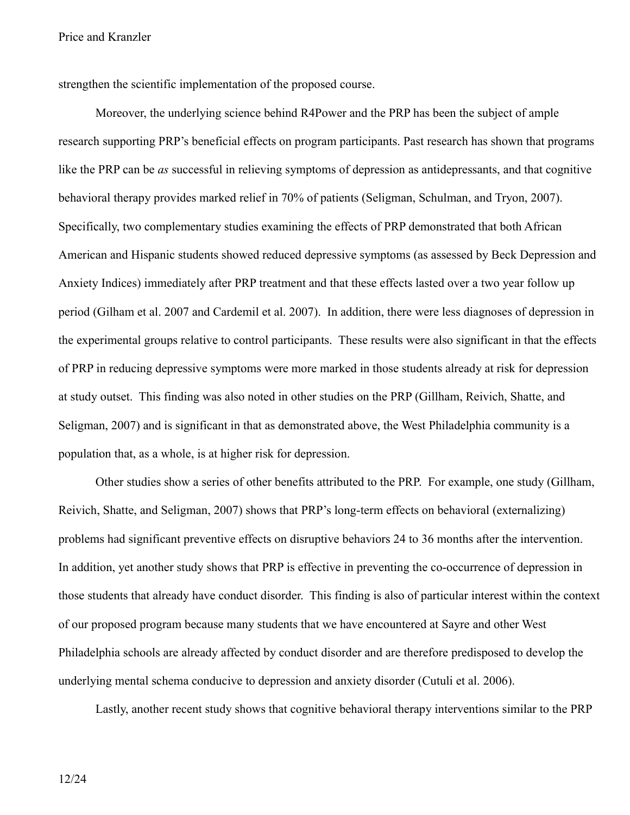strengthen the scientific implementation of the proposed course.

Moreover, the underlying science behind R4Power and the PRP has been the subject of ample research supporting PRP's beneficial effects on program participants. Past research has shown that programs like the PRP can be *as* successful in relieving symptoms of depression as antidepressants, and that cognitive behavioral therapy provides marked relief in 70% of patients (Seligman, Schulman, and Tryon, 2007). Specifically, two complementary studies examining the effects of PRP demonstrated that both African American and Hispanic students showed reduced depressive symptoms (as assessed by Beck Depression and Anxiety Indices) immediately after PRP treatment and that these effects lasted over a two year follow up period (Gilham et al. 2007 and Cardemil et al. 2007). In addition, there were less diagnoses of depression in the experimental groups relative to control participants. These results were also significant in that the effects of PRP in reducing depressive symptoms were more marked in those students already at risk for depression at study outset. This finding was also noted in other studies on the PRP (Gillham, Reivich, Shatte, and Seligman, 2007) and is significant in that as demonstrated above, the West Philadelphia community is a population that, as a whole, is at higher risk for depression.

Other studies show a series of other benefits attributed to the PRP. For example, one study (Gillham, Reivich, Shatte, and Seligman, 2007) shows that PRP's long-term effects on behavioral (externalizing) problems had significant preventive effects on disruptive behaviors 24 to 36 months after the intervention. In addition, yet another study shows that PRP is effective in preventing the co-occurrence of depression in those students that already have conduct disorder. This finding is also of particular interest within the context of our proposed program because many students that we have encountered at Sayre and other West Philadelphia schools are already affected by conduct disorder and are therefore predisposed to develop the underlying mental schema conducive to depression and anxiety disorder (Cutuli et al. 2006).

Lastly, another recent study shows that cognitive behavioral therapy interventions similar to the PRP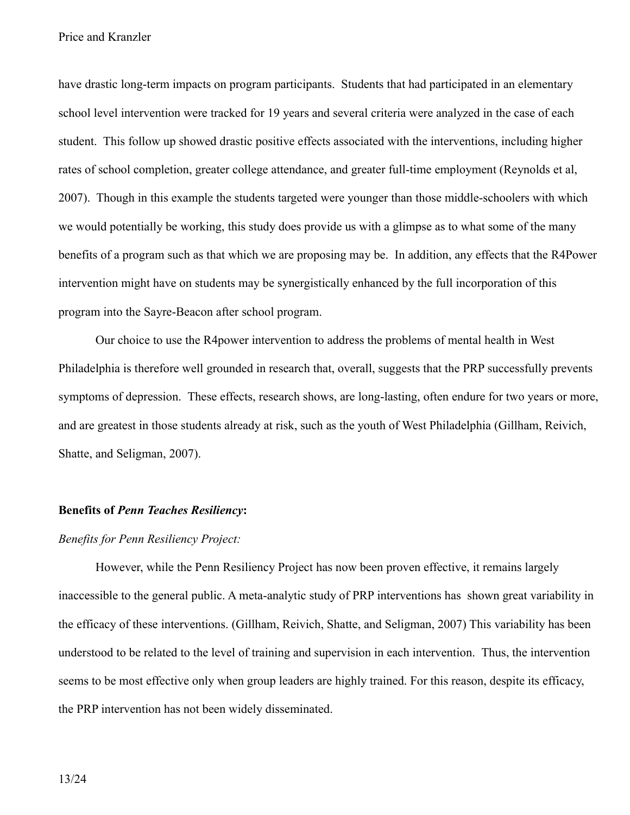have drastic long-term impacts on program participants. Students that had participated in an elementary school level intervention were tracked for 19 years and several criteria were analyzed in the case of each student. This follow up showed drastic positive effects associated with the interventions, including higher rates of school completion, greater college attendance, and greater full-time employment (Reynolds et al, 2007). Though in this example the students targeted were younger than those middle-schoolers with which we would potentially be working, this study does provide us with a glimpse as to what some of the many benefits of a program such as that which we are proposing may be. In addition, any effects that the R4Power intervention might have on students may be synergistically enhanced by the full incorporation of this program into the Sayre-Beacon after school program.

Our choice to use the R4power intervention to address the problems of mental health in West Philadelphia is therefore well grounded in research that, overall, suggests that the PRP successfully prevents symptoms of depression. These effects, research shows, are long-lasting, often endure for two years or more, and are greatest in those students already at risk, such as the youth of West Philadelphia (Gillham, Reivich, Shatte, and Seligman, 2007).

#### **Benefits of** *Penn Teaches Resiliency***:**

#### *Benefits for Penn Resiliency Project:*

However, while the Penn Resiliency Project has now been proven effective, it remains largely inaccessible to the general public. A meta-analytic study of PRP interventions has shown great variability in the efficacy of these interventions. (Gillham, Reivich, Shatte, and Seligman, 2007) This variability has been understood to be related to the level of training and supervision in each intervention. Thus, the intervention seems to be most effective only when group leaders are highly trained. For this reason, despite its efficacy, the PRP intervention has not been widely disseminated.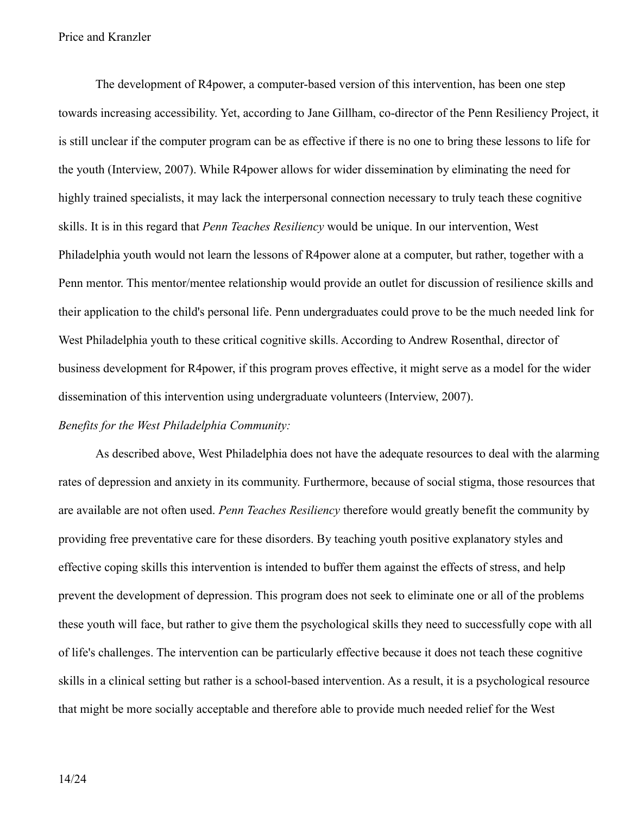The development of R4power, a computer-based version of this intervention, has been one step towards increasing accessibility. Yet, according to Jane Gillham, co-director of the Penn Resiliency Project, it is still unclear if the computer program can be as effective if there is no one to bring these lessons to life for the youth (Interview, 2007). While R4power allows for wider dissemination by eliminating the need for highly trained specialists, it may lack the interpersonal connection necessary to truly teach these cognitive skills. It is in this regard that *Penn Teaches Resiliency* would be unique. In our intervention, West Philadelphia youth would not learn the lessons of R4power alone at a computer, but rather, together with a Penn mentor. This mentor/mentee relationship would provide an outlet for discussion of resilience skills and their application to the child's personal life. Penn undergraduates could prove to be the much needed link for West Philadelphia youth to these critical cognitive skills. According to Andrew Rosenthal, director of business development for R4power, if this program proves effective, it might serve as a model for the wider dissemination of this intervention using undergraduate volunteers (Interview, 2007).

#### *Benefits for the West Philadelphia Community:*

As described above, West Philadelphia does not have the adequate resources to deal with the alarming rates of depression and anxiety in its community. Furthermore, because of social stigma, those resources that are available are not often used. *Penn Teaches Resiliency* therefore would greatly benefit the community by providing free preventative care for these disorders. By teaching youth positive explanatory styles and effective coping skills this intervention is intended to buffer them against the effects of stress, and help prevent the development of depression. This program does not seek to eliminate one or all of the problems these youth will face, but rather to give them the psychological skills they need to successfully cope with all of life's challenges. The intervention can be particularly effective because it does not teach these cognitive skills in a clinical setting but rather is a school-based intervention. As a result, it is a psychological resource that might be more socially acceptable and therefore able to provide much needed relief for the West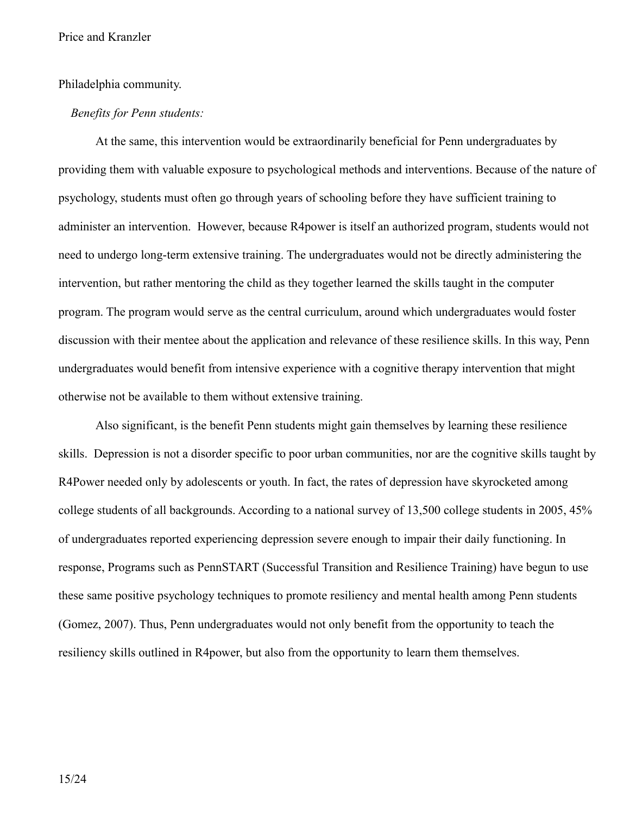#### Philadelphia community.

#### *Benefits for Penn students:*

At the same, this intervention would be extraordinarily beneficial for Penn undergraduates by providing them with valuable exposure to psychological methods and interventions. Because of the nature of psychology, students must often go through years of schooling before they have sufficient training to administer an intervention. However, because R4power is itself an authorized program, students would not need to undergo long-term extensive training. The undergraduates would not be directly administering the intervention, but rather mentoring the child as they together learned the skills taught in the computer program. The program would serve as the central curriculum, around which undergraduates would foster discussion with their mentee about the application and relevance of these resilience skills. In this way, Penn undergraduates would benefit from intensive experience with a cognitive therapy intervention that might otherwise not be available to them without extensive training.

Also significant, is the benefit Penn students might gain themselves by learning these resilience skills. Depression is not a disorder specific to poor urban communities, nor are the cognitive skills taught by R4Power needed only by adolescents or youth. In fact, the rates of depression have skyrocketed among college students of all backgrounds. According to a national survey of 13,500 college students in 2005, 45% of undergraduates reported experiencing depression severe enough to impair their daily functioning. In response, Programs such as PennSTART (Successful Transition and Resilience Training) have begun to use these same positive psychology techniques to promote resiliency and mental health among Penn students (Gomez, 2007). Thus, Penn undergraduates would not only benefit from the opportunity to teach the resiliency skills outlined in R4power, but also from the opportunity to learn them themselves.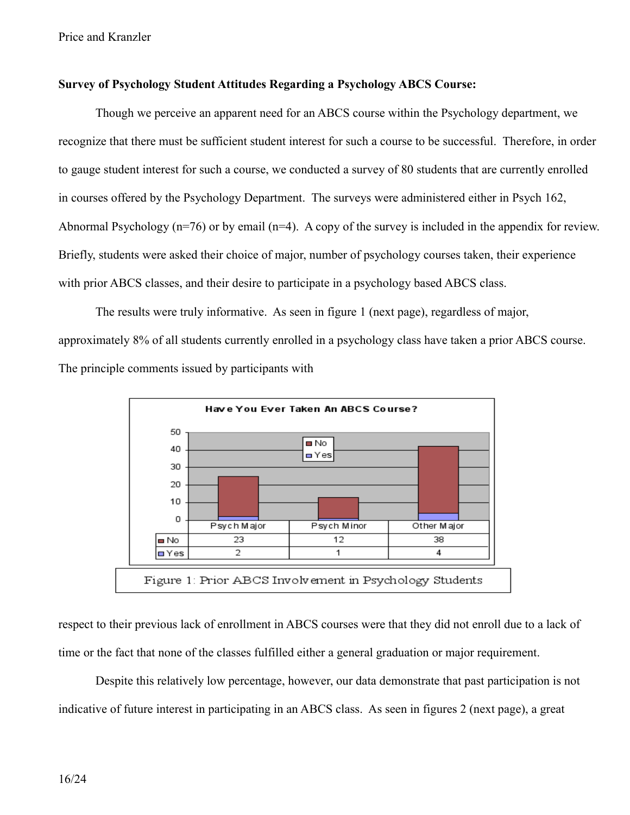#### **Survey of Psychology Student Attitudes Regarding a Psychology ABCS Course:**

Though we perceive an apparent need for an ABCS course within the Psychology department, we recognize that there must be sufficient student interest for such a course to be successful. Therefore, in order to gauge student interest for such a course, we conducted a survey of 80 students that are currently enrolled in courses offered by the Psychology Department. The surveys were administered either in Psych 162, Abnormal Psychology (n=76) or by email (n=4). A copy of the survey is included in the appendix for review. Briefly, students were asked their choice of major, number of psychology courses taken, their experience with prior ABCS classes, and their desire to participate in a psychology based ABCS class.

The results were truly informative. As seen in figure 1 (next page), regardless of major, approximately 8% of all students currently enrolled in a psychology class have taken a prior ABCS course. The principle comments issued by participants with



respect to their previous lack of enrollment in ABCS courses were that they did not enroll due to a lack of time or the fact that none of the classes fulfilled either a general graduation or major requirement.

Despite this relatively low percentage, however, our data demonstrate that past participation is not indicative of future interest in participating in an ABCS class. As seen in figures 2 (next page), a great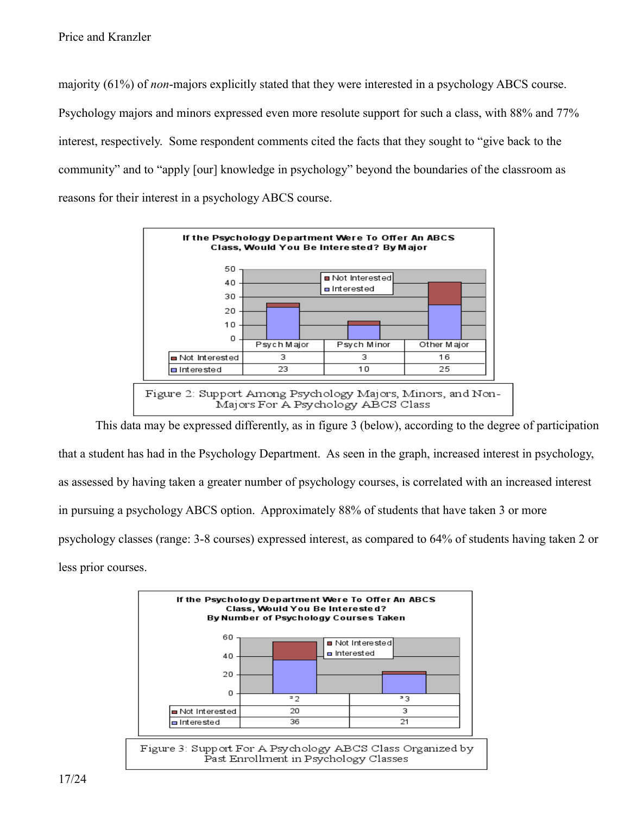majority (61%) of *non*-majors explicitly stated that they were interested in a psychology ABCS course. Psychology majors and minors expressed even more resolute support for such a class, with 88% and 77% interest, respectively. Some respondent comments cited the facts that they sought to "give back to the community" and to "apply [our] knowledge in psychology" beyond the boundaries of the classroom as reasons for their interest in a psychology ABCS course.



This data may be expressed differently, as in figure 3 (below), according to the degree of participation that a student has had in the Psychology Department. As seen in the graph, increased interest in psychology, as assessed by having taken a greater number of psychology courses, is correlated with an increased interest in pursuing a psychology ABCS option. Approximately 88% of students that have taken 3 or more psychology classes (range: 3-8 courses) expressed interest, as compared to 64% of students having taken 2 or less prior courses.

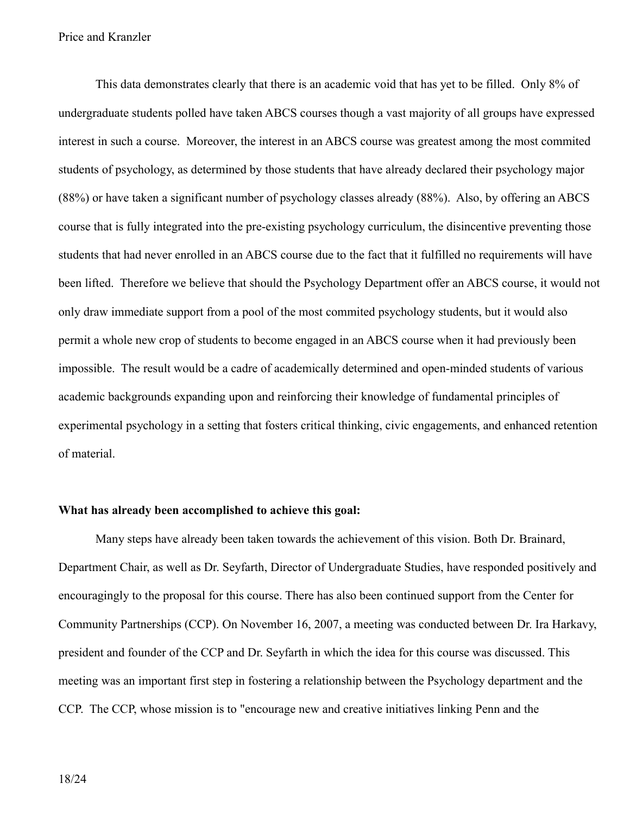This data demonstrates clearly that there is an academic void that has yet to be filled. Only 8% of undergraduate students polled have taken ABCS courses though a vast majority of all groups have expressed interest in such a course. Moreover, the interest in an ABCS course was greatest among the most commited students of psychology, as determined by those students that have already declared their psychology major (88%) or have taken a significant number of psychology classes already (88%). Also, by offering an ABCS course that is fully integrated into the pre-existing psychology curriculum, the disincentive preventing those students that had never enrolled in an ABCS course due to the fact that it fulfilled no requirements will have been lifted. Therefore we believe that should the Psychology Department offer an ABCS course, it would not only draw immediate support from a pool of the most commited psychology students, but it would also permit a whole new crop of students to become engaged in an ABCS course when it had previously been impossible. The result would be a cadre of academically determined and open-minded students of various academic backgrounds expanding upon and reinforcing their knowledge of fundamental principles of experimental psychology in a setting that fosters critical thinking, civic engagements, and enhanced retention of material.

### **What has already been accomplished to achieve this goal:**

Many steps have already been taken towards the achievement of this vision. Both Dr. Brainard, Department Chair, as well as Dr. Seyfarth, Director of Undergraduate Studies, have responded positively and encouragingly to the proposal for this course. There has also been continued support from the Center for Community Partnerships (CCP). On November 16, 2007, a meeting was conducted between Dr. Ira Harkavy, president and founder of the CCP and Dr. Seyfarth in which the idea for this course was discussed. This meeting was an important first step in fostering a relationship between the Psychology department and the CCP. The CCP, whose mission is to "encourage new and creative initiatives linking Penn and the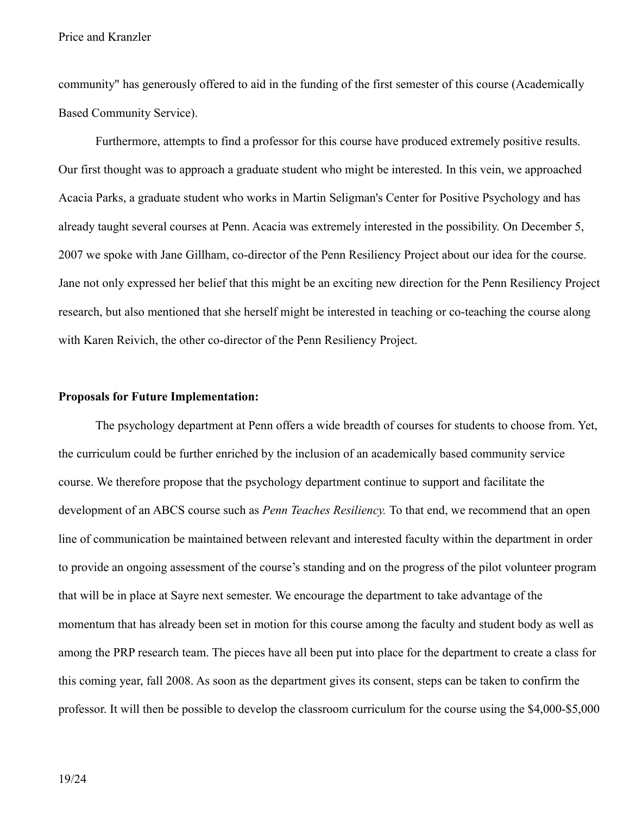community" has generously offered to aid in the funding of the first semester of this course (Academically Based Community Service).

Furthermore, attempts to find a professor for this course have produced extremely positive results. Our first thought was to approach a graduate student who might be interested. In this vein, we approached Acacia Parks, a graduate student who works in Martin Seligman's Center for Positive Psychology and has already taught several courses at Penn. Acacia was extremely interested in the possibility. On December 5, 2007 we spoke with Jane Gillham, co-director of the Penn Resiliency Project about our idea for the course. Jane not only expressed her belief that this might be an exciting new direction for the Penn Resiliency Project research, but also mentioned that she herself might be interested in teaching or co-teaching the course along with Karen Reivich, the other co-director of the Penn Resiliency Project.

#### **Proposals for Future Implementation:**

The psychology department at Penn offers a wide breadth of courses for students to choose from. Yet, the curriculum could be further enriched by the inclusion of an academically based community service course. We therefore propose that the psychology department continue to support and facilitate the development of an ABCS course such as *Penn Teaches Resiliency.* To that end, we recommend that an open line of communication be maintained between relevant and interested faculty within the department in order to provide an ongoing assessment of the course's standing and on the progress of the pilot volunteer program that will be in place at Sayre next semester. We encourage the department to take advantage of the momentum that has already been set in motion for this course among the faculty and student body as well as among the PRP research team. The pieces have all been put into place for the department to create a class for this coming year, fall 2008. As soon as the department gives its consent, steps can be taken to confirm the professor. It will then be possible to develop the classroom curriculum for the course using the \$4,000-\$5,000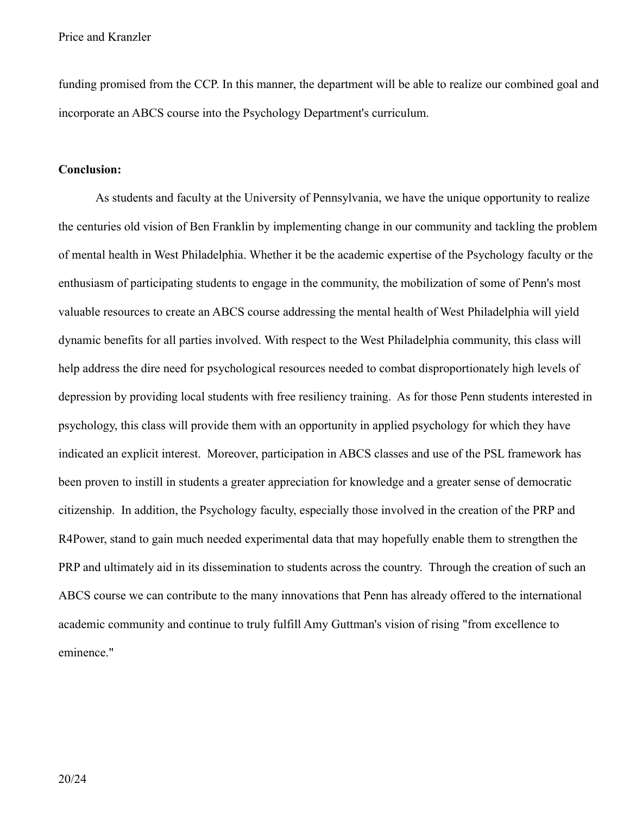funding promised from the CCP. In this manner, the department will be able to realize our combined goal and incorporate an ABCS course into the Psychology Department's curriculum.

#### **Conclusion:**

As students and faculty at the University of Pennsylvania, we have the unique opportunity to realize the centuries old vision of Ben Franklin by implementing change in our community and tackling the problem of mental health in West Philadelphia. Whether it be the academic expertise of the Psychology faculty or the enthusiasm of participating students to engage in the community, the mobilization of some of Penn's most valuable resources to create an ABCS course addressing the mental health of West Philadelphia will yield dynamic benefits for all parties involved. With respect to the West Philadelphia community, this class will help address the dire need for psychological resources needed to combat disproportionately high levels of depression by providing local students with free resiliency training. As for those Penn students interested in psychology, this class will provide them with an opportunity in applied psychology for which they have indicated an explicit interest. Moreover, participation in ABCS classes and use of the PSL framework has been proven to instill in students a greater appreciation for knowledge and a greater sense of democratic citizenship. In addition, the Psychology faculty, especially those involved in the creation of the PRP and R4Power, stand to gain much needed experimental data that may hopefully enable them to strengthen the PRP and ultimately aid in its dissemination to students across the country. Through the creation of such an ABCS course we can contribute to the many innovations that Penn has already offered to the international academic community and continue to truly fulfill Amy Guttman's vision of rising "from excellence to eminence."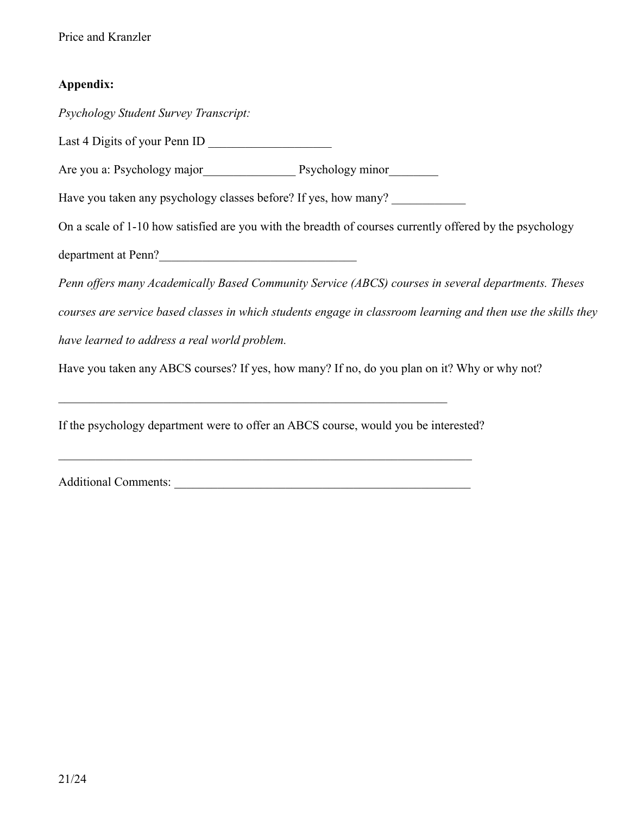## **Appendix:**

*Psychology Student Survey Transcript:* Last 4 Digits of your Penn ID \_\_\_\_\_\_\_\_\_\_\_\_\_\_\_\_\_\_\_\_ Are you a: Psychology major Psychology minor Have you taken any psychology classes before? If yes, how many? On a scale of 1-10 how satisfied are you with the breadth of courses currently offered by the psychology department at Penn? *Penn offers many Academically Based Community Service (ABCS) courses in several departments. Theses courses are service based classes in which students engage in classroom learning and then use the skills they have learned to address a real world problem.*  Have you taken any ABCS courses? If yes, how many? If no, do you plan on it? Why or why not?  $\mathcal{L}_\text{max}$  , and the contribution of the contribution of the contribution of the contribution of the contribution of the contribution of the contribution of the contribution of the contribution of the contribution of t If the psychology department were to offer an ABCS course, would you be interested?  $\mathcal{L}_\mathcal{L} = \{ \mathcal{L}_\mathcal{L} = \{ \mathcal{L}_\mathcal{L} = \{ \mathcal{L}_\mathcal{L} = \{ \mathcal{L}_\mathcal{L} = \{ \mathcal{L}_\mathcal{L} = \{ \mathcal{L}_\mathcal{L} = \{ \mathcal{L}_\mathcal{L} = \{ \mathcal{L}_\mathcal{L} = \{ \mathcal{L}_\mathcal{L} = \{ \mathcal{L}_\mathcal{L} = \{ \mathcal{L}_\mathcal{L} = \{ \mathcal{L}_\mathcal{L} = \{ \mathcal{L}_\mathcal{L} = \{ \mathcal{L}_\mathcal{$ 

Additional Comments: \_\_\_\_\_\_\_\_\_\_\_\_\_\_\_\_\_\_\_\_\_\_\_\_\_\_\_\_\_\_\_\_\_\_\_\_\_\_\_\_\_\_\_\_\_\_\_\_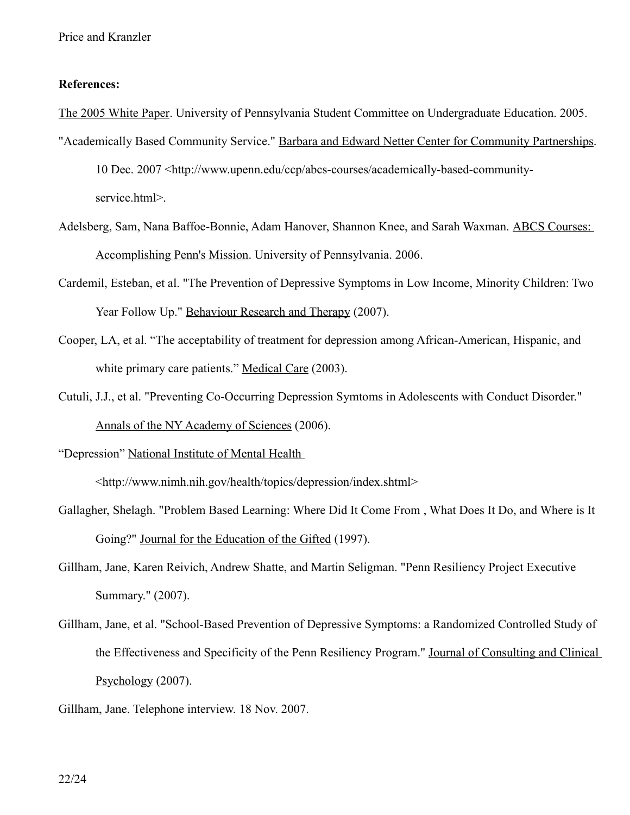#### **References:**

The 2005 White Paper. University of Pennsylvania Student Committee on Undergraduate Education. 2005.

"Academically Based Community Service." Barbara and Edward Netter Center for Community Partnerships. 10 Dec. 2007 <http://www.upenn.edu/ccp/abcs-courses/academically-based-community-

service.html>.

- Adelsberg, Sam, Nana Baffoe-Bonnie, Adam Hanover, Shannon Knee, and Sarah Waxman. ABCS Courses: Accomplishing Penn's Mission. University of Pennsylvania. 2006.
- Cardemil, Esteban, et al. "The Prevention of Depressive Symptoms in Low Income, Minority Children: Two Year Follow Up." Behaviour Research and Therapy (2007).
- Cooper, LA, et al. "The acceptability of treatment for depression among African-American, Hispanic, and white primary care patients." Medical Care (2003).
- Cutuli, J.J., et al. "Preventing Co-Occurring Depression Symtoms in Adolescents with Conduct Disorder." Annals of the NY Academy of Sciences (2006).

"Depression" National Institute of Mental Health

<http://www.nimh.nih.gov/health/topics/depression/index.shtml>

- Gallagher, Shelagh. "Problem Based Learning: Where Did It Come From , What Does It Do, and Where is It Going?" Journal for the Education of the Gifted (1997).
- Gillham, Jane, Karen Reivich, Andrew Shatte, and Martin Seligman. "Penn Resiliency Project Executive Summary." (2007).
- Gillham, Jane, et al. "School-Based Prevention of Depressive Symptoms: a Randomized Controlled Study of the Effectiveness and Specificity of the Penn Resiliency Program." Journal of Consulting and Clinical Psychology (2007).
- Gillham, Jane. Telephone interview. 18 Nov. 2007.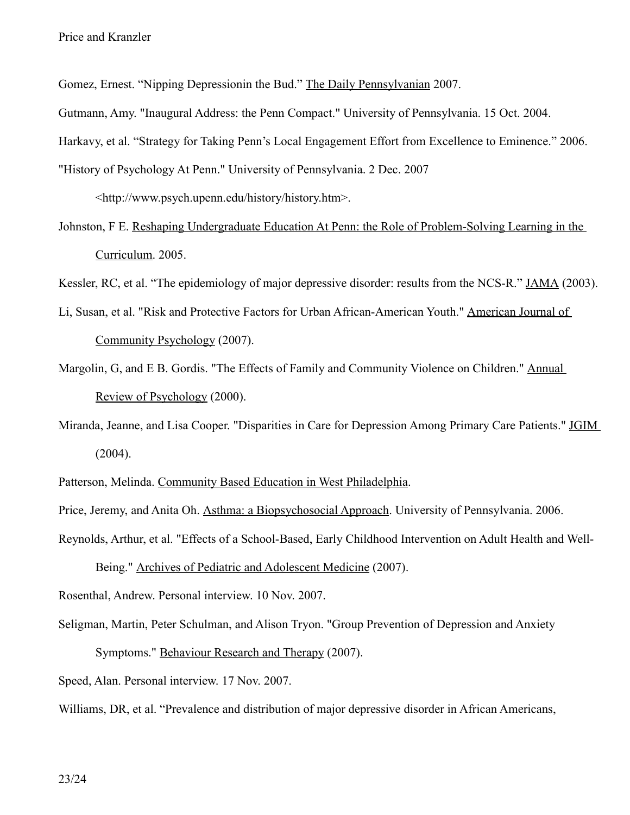Gomez, Ernest. "Nipping Depressionin the Bud." The Daily Pennsylvanian 2007.

Gutmann, Amy. "Inaugural Address: the Penn Compact." University of Pennsylvania. 15 Oct. 2004.

Harkavy, et al. "Strategy for Taking Penn's Local Engagement Effort from Excellence to Eminence." 2006.

"History of Psychology At Penn." University of Pennsylvania. 2 Dec. 2007

<http://www.psych.upenn.edu/history/history.htm>.

Johnston, F E. Reshaping Undergraduate Education At Penn: the Role of Problem-Solving Learning in the Curriculum. 2005.

Kessler, RC, et al. "The epidemiology of major depressive disorder: results from the NCS-R." JAMA (2003).

- Li, Susan, et al. "Risk and Protective Factors for Urban African-American Youth." American Journal of Community Psychology (2007).
- Margolin, G, and E B. Gordis. "The Effects of Family and Community Violence on Children." Annual Review of Psychology (2000).
- Miranda, Jeanne, and Lisa Cooper. "Disparities in Care for Depression Among Primary Care Patients." JGIM (2004).

Patterson, Melinda. Community Based Education in West Philadelphia.

Price, Jeremy, and Anita Oh. Asthma: a Biopsychosocial Approach. University of Pennsylvania. 2006.

Reynolds, Arthur, et al. "Effects of a School-Based, Early Childhood Intervention on Adult Health and Well-

Being." Archives of Pediatric and Adolescent Medicine (2007).

Rosenthal, Andrew. Personal interview. 10 Nov. 2007.

Seligman, Martin, Peter Schulman, and Alison Tryon. "Group Prevention of Depression and Anxiety Symptoms." Behaviour Research and Therapy (2007).

Speed, Alan. Personal interview. 17 Nov. 2007.

Williams, DR, et al. "Prevalence and distribution of major depressive disorder in African Americans,